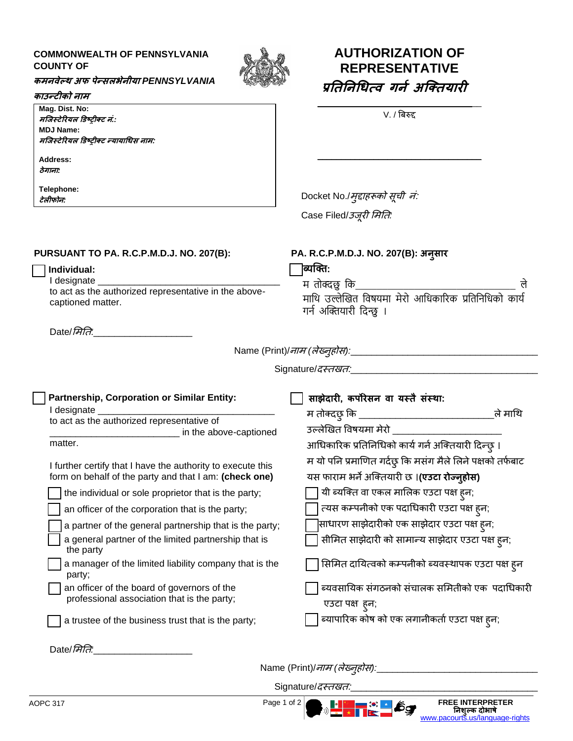## **COMMONWEALTH OF PENNSYLVANIA COUNTY OF**



## **कमिवेल्थ अफ पेन्सलभेिीया** *PENNSYLVANIA*

## **काउन्टीको िाम**

**Mag. Dist. No: मजिस्टेरियल डिष्ट्रीक्ट िं***.:* **MDJ Name: मजिस्टेरियल डिष्ट्रीक्ट न्यायाधिस िाम: Address: ठेगािा***:*

**Telephone: टेलीफोि***:*

## **AUTHORIZATION OF REPRESENTATIVE प्रनिनिधित्व गिन अजक्ियािी**

\_\_\_\_\_\_\_\_\_\_\_\_\_\_\_\_\_\_\_\_\_\_\_\_\_\_\_\_\_\_\_\_\_\_\_ V. / बिरुद्द

\_\_\_\_\_\_\_\_\_\_\_\_\_\_\_\_\_\_\_\_\_\_\_\_\_\_\_\_\_\_\_\_\_\_\_

म तोक्दछु कि\_\_\_\_\_\_\_\_\_\_\_\_\_\_\_\_\_\_\_\_\_\_\_\_\_\_\_\_\_\_ ले माथि उल्लेखित विषयमा मेरो आधिकारिक प्रतिनिधिको कार्य

Docket No./मुद्दाहरूको सूची नं: Case Filed/उजूरी ममति*:*

**PA. R.C.P.M.D.J. NO. 207(B): अिुसाि**

**PURSUANT TO PA. R.C.P.M.D.J. NO. 207(B):**

 **Individual:**

I designate to act as the authorized representative in the abovecaptioned matter.

Date/*मिति*:

Name (Print)/नाम *(*लेख्नुहोस*):*\_\_\_\_\_\_\_\_\_\_\_\_\_\_\_\_\_\_\_\_\_\_\_\_\_\_\_\_\_\_\_\_\_\_\_\_

Signature/दस्िखि:\_\_\_\_\_\_\_\_\_\_\_\_\_\_\_\_\_\_\_\_\_\_\_\_\_\_\_\_\_\_\_\_\_\_\_\_

गर्न अक्तियारी दिन्छु ।

**ब्यक्ति:**

| Partnership, Corporation or Similar Entity:                                                                           | साझेदारी, कर्पोरेसन वा यस्तै संस्था:                                                                      |
|-----------------------------------------------------------------------------------------------------------------------|-----------------------------------------------------------------------------------------------------------|
| I designate                                                                                                           | . म तोक्दछ् कि ___________<br>ले माथि                                                                     |
| to act as the authorized representative of<br>in the above-captioned                                                  | उल्लेखित विषयमा मेरो                                                                                      |
| matter.                                                                                                               | आधिकारिक प्रतिनिधिको कार्य गर्न अक्तियारी दिन्छ् ।                                                        |
| I further certify that I have the authority to execute this<br>form on behalf of the party and that I am: (check one) | म यो पनि प्रमाणित गर्दछ् कि मसंग मैले लिने पक्षको तर्फबाट<br>यस फाराम भर्ने अक्तियारी छ ।(एउटा रोज्न्होस) |
| the individual or sole proprietor that is the party;                                                                  | यी ब्यक्ति वा एकल मालिक एउटा पक्ष ह्न;                                                                    |
| an officer of the corporation that is the party;                                                                      | त्यस कम्पनीको एक पदाधिकारी एउटा पक्ष ह्न;                                                                 |
| a partner of the general partnership that is the party;                                                               | साधारण साझेदारीको एक साझेदार एउटा पक्ष ह्न;                                                               |
| a general partner of the limited partnership that is<br>the party                                                     | सीमित साझेदारी को सामान्य साझेदार एउटा पक्ष ह्न;                                                          |
| a manager of the limited liability company that is the<br>party;                                                      | सिमित दायित्वको कम्पनीको ब्यवस्थापक एउटा पक्ष ह्न                                                         |
| an officer of the board of governors of the                                                                           | ब्यवसायिक संगठनको संचालक समितीको एक  पदाधिकारी                                                            |
| professional association that is the party;                                                                           | एउटा पक्ष हुन;                                                                                            |
| a trustee of the business trust that is the party;                                                                    | ब्यापारिक कोष को एक लगानीकर्ता एउटा पक्ष ह्न;                                                             |
| Date/ <i>Hite</i>                                                                                                     |                                                                                                           |

Name (Print)/नाम *(*लेख्नुहोस*):*\_\_\_\_\_\_\_\_\_\_\_\_\_\_\_\_\_\_\_\_\_\_\_\_\_\_\_\_\_\_\_

**निशुल्क दोभाषे** [www.pacourts.us/language-rights](http://www.pacourts.us/language-rights)

Signature/*दस्तखत:*